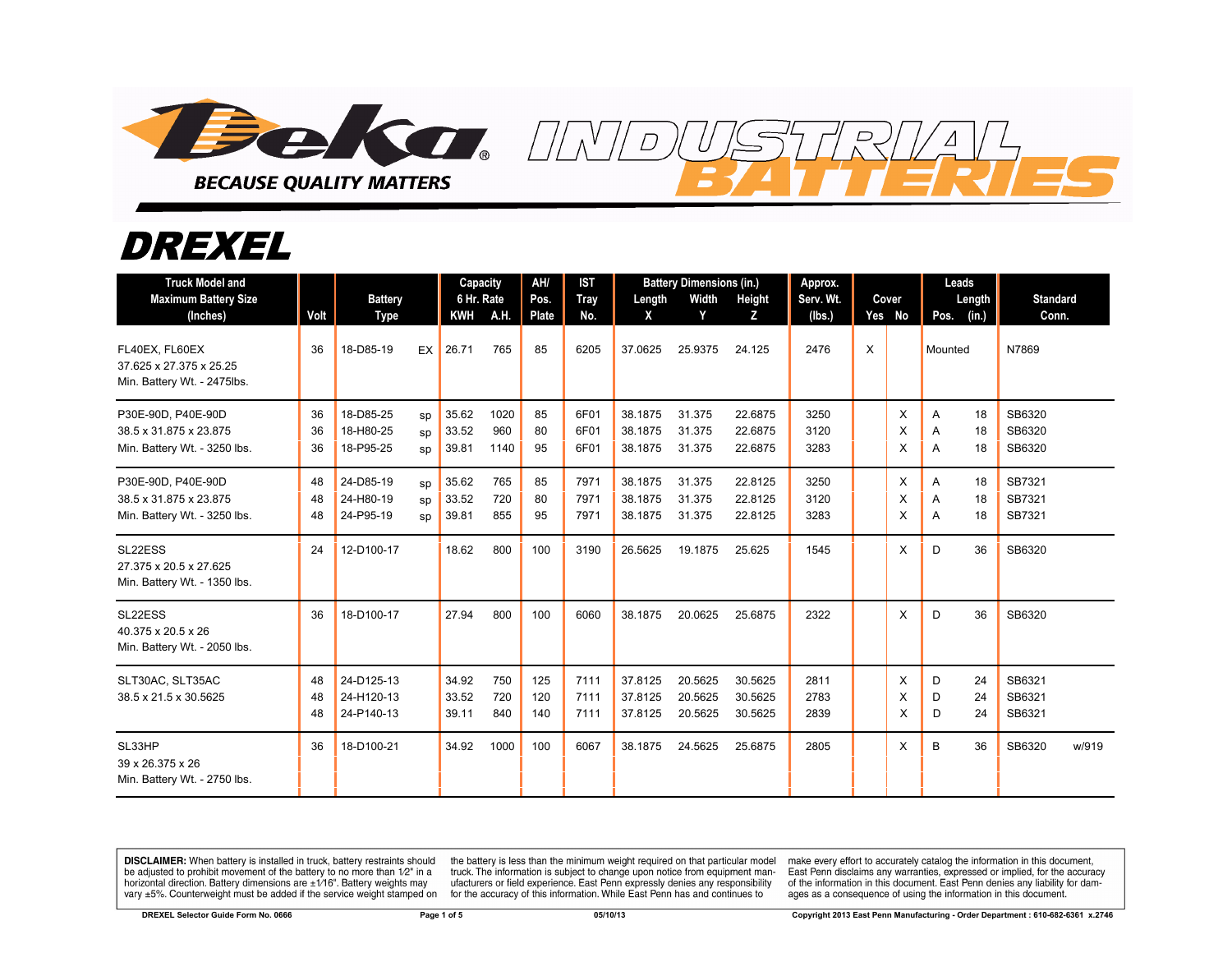

## DREXEL

| <b>Truck Model and</b><br><b>Maximum Battery Size</b><br>(Inches)            | Volt           | <b>Battery</b><br><b>Type</b>          |                | Capacity<br>6 Hr. Rate<br><b>KWH</b> | A.H.                | AH/<br>Pos.<br><b>Plate</b> | <b>IST</b><br>Tray<br>No. | Length<br>X                   | <b>Battery Dimensions (in.)</b><br>Width<br>Y | Height<br>z                   | Approx.<br>Serv. Wt.<br>(Ibs.) |   | Cover<br>Yes No | Leads<br>Length<br>(in.)<br>Pos. | <b>Standard</b><br>Conn.   |
|------------------------------------------------------------------------------|----------------|----------------------------------------|----------------|--------------------------------------|---------------------|-----------------------------|---------------------------|-------------------------------|-----------------------------------------------|-------------------------------|--------------------------------|---|-----------------|----------------------------------|----------------------------|
| FL40EX. FL60EX<br>37.625 x 27.375 x 25.25<br>Min. Battery Wt. - 2475lbs.     | 36             | 18-D85-19                              | EX             | 26.71                                | 765                 | 85                          | 6205                      | 37.0625                       | 25.9375                                       | 24.125                        | 2476                           | X |                 | Mounted                          | N7869                      |
| P30E-90D, P40E-90D<br>38.5 x 31.875 x 23.875<br>Min. Battery Wt. - 3250 lbs. | 36<br>36<br>36 | 18-D85-25<br>18-H80-25<br>18-P95-25    | SD<br>SD<br>sp | 35.62<br>33.52<br>39.81              | 1020<br>960<br>1140 | 85<br>80<br>95              | 6F01<br>6F01<br>6F01      | 38.1875<br>38.1875<br>38.1875 | 31.375<br>31.375<br>31.375                    | 22.6875<br>22.6875<br>22.6875 | 3250<br>3120<br>3283           |   | X<br>X<br>X     | A<br>18<br>A<br>18<br>A<br>18    | SB6320<br>SB6320<br>SB6320 |
| P30E-90D, P40E-90D<br>38.5 x 31.875 x 23.875<br>Min. Battery Wt. - 3250 lbs. | 48<br>48<br>48 | 24-D85-19<br>24-H80-19<br>24-P95-19    | SD<br>sp<br>SD | 35.62<br>33.52<br>39.81              | 765<br>720<br>855   | 85<br>80<br>95              | 7971<br>7971<br>7971      | 38.1875<br>38.1875<br>38.1875 | 31.375<br>31.375<br>31.375                    | 22.8125<br>22.8125<br>22.8125 | 3250<br>3120<br>3283           |   | X<br>X<br>X     | 18<br>A<br>A<br>18<br>A<br>18    | SB7321<br>SB7321<br>SB7321 |
| SL22ESS<br>27.375 x 20.5 x 27.625<br>Min. Battery Wt. - 1350 lbs.            | 24             | 12-D100-17                             |                | 18.62                                | 800                 | 100                         | 3190                      | 26.5625                       | 19.1875                                       | 25.625                        | 1545                           |   | X               | D<br>36                          | SB6320                     |
| SL22ESS<br>40.375 x 20.5 x 26<br>Min. Battery Wt. - 2050 lbs.                | 36             | 18-D100-17                             |                | 27.94                                | 800                 | 100                         | 6060                      | 38.1875                       | 20.0625                                       | 25.6875                       | 2322                           |   | X               | 36<br>D                          | SB6320                     |
| SLT30AC, SLT35AC<br>38.5 x 21.5 x 30.5625                                    | 48<br>48<br>48 | 24-D125-13<br>24-H120-13<br>24-P140-13 |                | 34.92<br>33.52<br>39.11              | 750<br>720<br>840   | 125<br>120<br>140           | 7111<br>7111<br>7111      | 37.8125<br>37.8125<br>37.8125 | 20.5625<br>20.5625<br>20.5625                 | 30.5625<br>30.5625<br>30.5625 | 2811<br>2783<br>2839           |   | X<br>X<br>X     | D<br>24<br>24<br>D<br>24<br>D    | SB6321<br>SB6321<br>SB6321 |
| SL33HP<br>39 x 26.375 x 26<br>Min. Battery Wt. - 2750 lbs.                   | 36             | 18-D100-21                             |                | 34.92                                | 1000                | 100                         | 6067                      | 38.1875                       | 24.5625                                       | 25.6875                       | 2805                           |   | X               | B<br>36                          | SB6320<br>w/919            |

**DISCLAIMER:** When battery is installed in truck, battery restraints should be adjusted to prohibit movement of the battery to no more than 1/2" in a horizontal direction. Battery dimensions are  $\pm 1/16$ ". Battery weights may vary ±5%. Counterweight must be added if the service weight stamped on

the battery is less than the minimum weight required on that particular model<br>truck. The information is subject to change upon notice from equipment manufacturers or field experience. East Penn expressly denies any responsibility for the accuracy of this information. While East Penn has and continues to

make every effort to accurately catalog the information in this document,<br>East Penn disclaims any warranties, expressed or implied, for the accuracy of the information in this document. East Penn denies any liability for damages as a consequence of using the information in this document.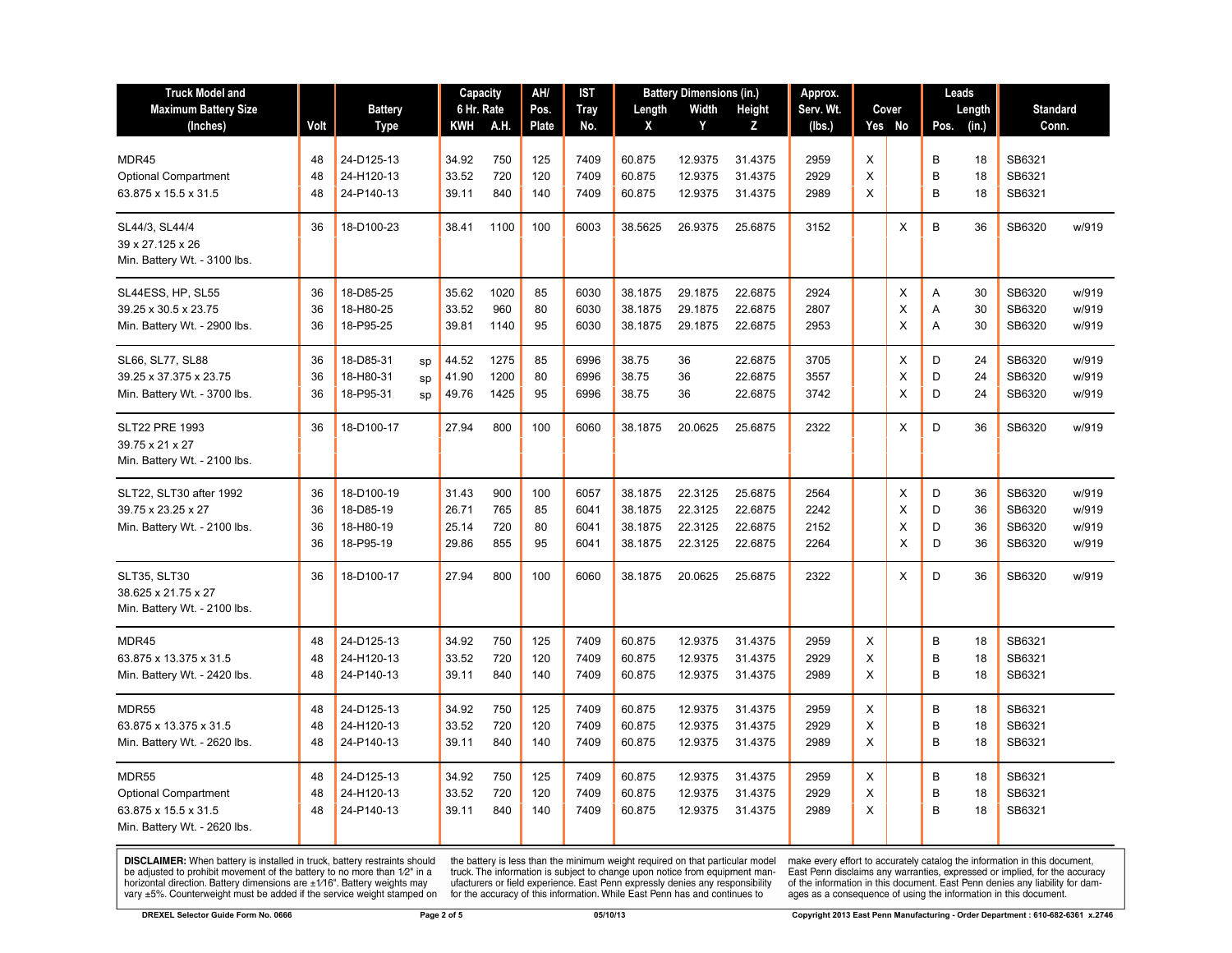| <b>Truck Model and</b><br><b>Maximum Battery Size</b><br>(Inches)                            | Volt                 | <b>Battery</b><br>Type                            |                | Capacity<br>6 Hr. Rate<br>KWH    | A.H.                     | AH/<br>Pos.<br><b>Plate</b> | IST<br><b>Tray</b><br>No.    | Length<br>X                              | <b>Battery Dimensions (in.)</b><br>Width<br>Y | Height<br>z                              | Approx.<br>Serv. Wt.<br>(lbs.) | Cover<br>Yes No |                  | Leads<br>Length<br>Pos.<br>(in.) |                      | <b>Standard</b><br>Conn.             |                                  |
|----------------------------------------------------------------------------------------------|----------------------|---------------------------------------------------|----------------|----------------------------------|--------------------------|-----------------------------|------------------------------|------------------------------------------|-----------------------------------------------|------------------------------------------|--------------------------------|-----------------|------------------|----------------------------------|----------------------|--------------------------------------|----------------------------------|
| MDR45<br><b>Optional Compartment</b><br>63.875 x 15.5 x 31.5                                 | 48<br>48<br>48       | 24-D125-13<br>24-H120-13<br>24-P140-13            |                | 34.92<br>33.52<br>39.11          | 750<br>720<br>840        | 125<br>120<br>140           | 7409<br>7409<br>7409         | 60.875<br>60.875<br>60.875               | 12.9375<br>12.9375<br>12.9375                 | 31.4375<br>31.4375<br>31.4375            | 2959<br>2929<br>2989           | X<br>Χ<br>X     |                  | B<br>B<br>B                      | 18<br>18<br>18       | SB6321<br>SB6321<br>SB6321           |                                  |
| SL44/3, SL44/4<br>39 x 27.125 x 26<br>Min. Battery Wt. - 3100 lbs.                           | 36                   | 18-D100-23                                        |                | 38.41                            | 1100                     | 100                         | 6003                         | 38.5625                                  | 26.9375                                       | 25.6875                                  | 3152                           |                 | X                | B                                | 36                   | SB6320                               | w/919                            |
| SL44ESS, HP, SL55<br>39.25 x 30.5 x 23.75<br>Min. Battery Wt. - 2900 lbs.                    | 36<br>36<br>36       | 18-D85-25<br>18-H80-25<br>18-P95-25               |                | 35.62<br>33.52<br>39.81          | 1020<br>960<br>1140      | 85<br>80<br>95              | 6030<br>6030<br>6030         | 38.1875<br>38.1875<br>38.1875            | 29.1875<br>29.1875<br>29.1875                 | 22.6875<br>22.6875<br>22.6875            | 2924<br>2807<br>2953           |                 | X<br>X<br>X      | Α<br>A<br>A                      | 30<br>30<br>30       | SB6320<br>SB6320<br>SB6320           | w/919<br>w/919<br>w/919          |
| SL66, SL77, SL88<br>39.25 x 37.375 x 23.75<br>Min. Battery Wt. - 3700 lbs.                   | 36<br>36<br>36       | 18-D85-31<br>18-H80-31<br>18-P95-31               | sp<br>sp<br>sp | 44.52<br>41.90<br>49.76          | 1275<br>1200<br>1425     | 85<br>80<br>95              | 6996<br>6996<br>6996         | 38.75<br>38.75<br>38.75                  | 36<br>36<br>36                                | 22.6875<br>22.6875<br>22.6875            | 3705<br>3557<br>3742           |                 | X<br>X<br>X      | D<br>D<br>D                      | 24<br>24<br>24       | SB6320<br>SB6320<br>SB6320           | w/919<br>w/919<br>w/919          |
| <b>SLT22 PRE 1993</b><br>39.75 x 21 x 27<br>Min. Battery Wt. - 2100 lbs.                     | 36                   | 18-D100-17                                        |                | 27.94                            | 800                      | 100                         | 6060                         | 38.1875                                  | 20.0625                                       | 25.6875                                  | 2322                           |                 | X                | D                                | 36                   | SB6320                               | w/919                            |
| SLT22, SLT30 after 1992<br>39.75 x 23.25 x 27<br>Min. Battery Wt. - 2100 lbs.                | 36<br>36<br>36<br>36 | 18-D100-19<br>18-D85-19<br>18-H80-19<br>18-P95-19 |                | 31.43<br>26.71<br>25.14<br>29.86 | 900<br>765<br>720<br>855 | 100<br>85<br>80<br>95       | 6057<br>6041<br>6041<br>6041 | 38.1875<br>38.1875<br>38.1875<br>38.1875 | 22.3125<br>22.3125<br>22.3125<br>22.3125      | 25.6875<br>22.6875<br>22.6875<br>22.6875 | 2564<br>2242<br>2152<br>2264   |                 | X<br>X<br>X<br>X | D<br>D<br>D<br>D                 | 36<br>36<br>36<br>36 | SB6320<br>SB6320<br>SB6320<br>SB6320 | w/919<br>w/919<br>w/919<br>w/919 |
| <b>SLT35, SLT30</b><br>38.625 x 21.75 x 27<br>Min. Battery Wt. - 2100 lbs.                   | 36                   | 18-D100-17                                        |                | 27.94                            | 800                      | 100                         | 6060                         | 38.1875                                  | 20.0625                                       | 25.6875                                  | 2322                           |                 | X                | D                                | 36                   | SB6320                               | w/919                            |
| MDR45<br>63.875 x 13.375 x 31.5<br>Min. Battery Wt. - 2420 lbs.                              | 48<br>48<br>48       | 24-D125-13<br>24-H120-13<br>24-P140-13            |                | 34.92<br>33.52<br>39.11          | 750<br>720<br>840        | 125<br>120<br>140           | 7409<br>7409<br>7409         | 60.875<br>60.875<br>60.875               | 12.9375<br>12.9375<br>12.9375                 | 31.4375<br>31.4375<br>31.4375            | 2959<br>2929<br>2989           | X<br>X<br>X     |                  | B<br>B<br>B                      | 18<br>18<br>18       | SB6321<br>SB6321<br>SB6321           |                                  |
| <b>MDR55</b><br>63.875 x 13.375 x 31.5<br>Min. Battery Wt. - 2620 lbs.                       | 48<br>48<br>48       | 24-D125-13<br>24-H120-13<br>24-P140-13            |                | 34.92<br>33.52<br>39.11          | 750<br>720<br>840        | 125<br>120<br>140           | 7409<br>7409<br>7409         | 60.875<br>60.875<br>60.875               | 12.9375<br>12.9375<br>12.9375                 | 31.4375<br>31.4375<br>31.4375            | 2959<br>2929<br>2989           | X<br>X<br>X     |                  | B<br>B<br>B                      | 18<br>18<br>18       | SB6321<br>SB6321<br>SB6321           |                                  |
| MDR55<br><b>Optional Compartment</b><br>63.875 x 15.5 x 31.5<br>Min. Battery Wt. - 2620 lbs. | 48<br>48<br>48       | 24-D125-13<br>24-H120-13<br>24-P140-13            |                | 34.92<br>33.52<br>39.11          | 750<br>720<br>840        | 125<br>120<br>140           | 7409<br>7409<br>7409         | 60.875<br>60.875<br>60.875               | 12.9375<br>12.9375<br>12.9375                 | 31.4375<br>31.4375<br>31.4375            | 2959<br>2929<br>2989           | X<br>X<br>X     |                  | B<br>B<br>B                      | 18<br>18<br>18       | SB6321<br>SB6321<br>SB6321           |                                  |

**DISCLAIMER:** When battery is installed in truck, battery restraints should be adjusted to prohibit movement of the battery to no more than  $12^v$  in a horizontal direction. Battery dimensions are  $\pm 1/16^v$ . Battery wei

the battery is less than the minimum weight required on that particular model<br>truck. The information is subject to change upon notice from equipment man-<br>ufacturers or field experience. East Penn expressly denies any respo

make every effort to accurately catalog the information in this document,<br>East Penn disclaims any warranties, expressed or implied, for the accuracy<br>of the information in this document. East Penn denies any liability for d ages as a consequence of using the information in this document.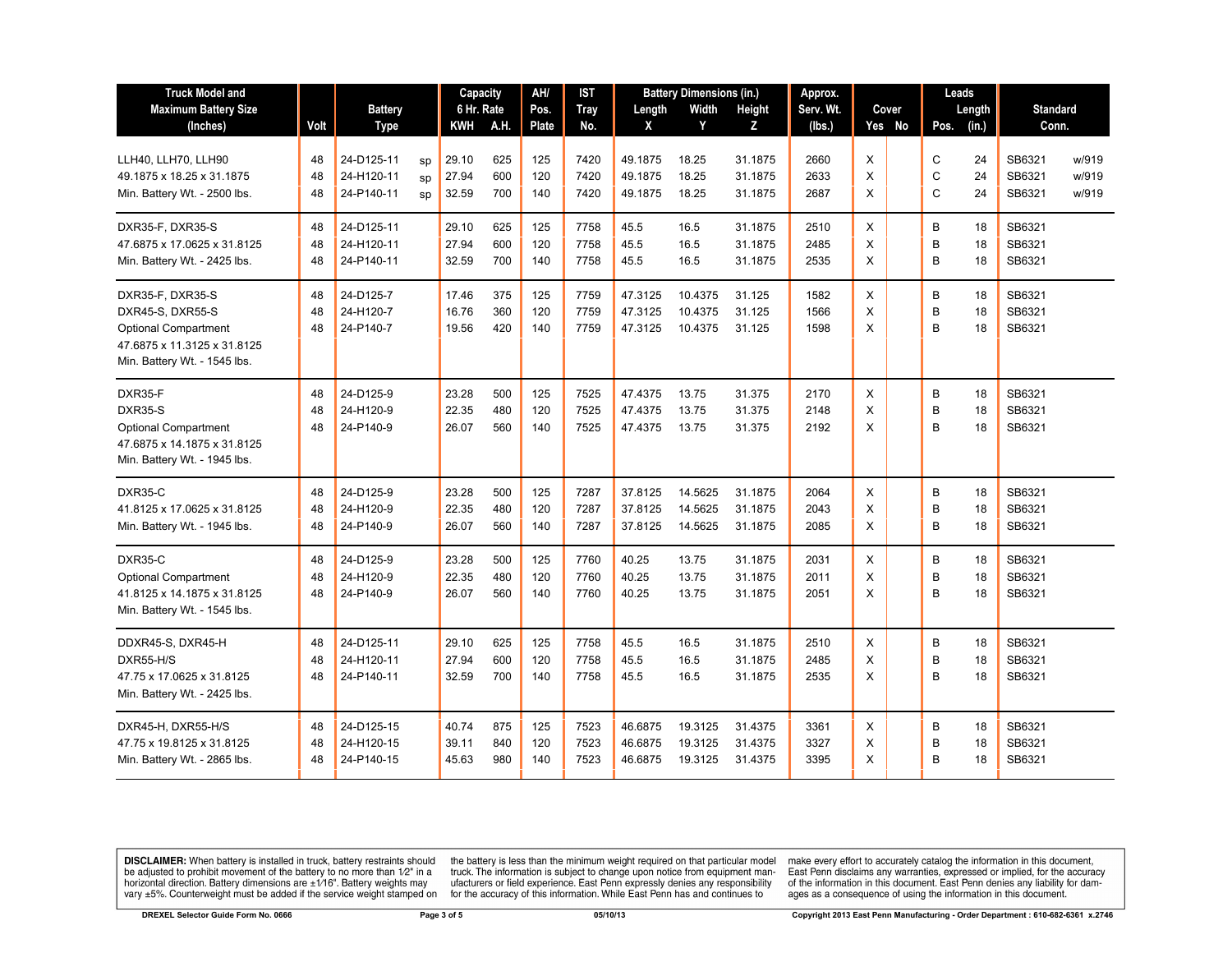| <b>Truck Model and</b>       |      |                |    | Capacity   |      | AH/   | IST         | <b>Battery Dimensions (in.)</b> |         | Approx.       |           | Leads    |       |      |        |                 |       |
|------------------------------|------|----------------|----|------------|------|-------|-------------|---------------------------------|---------|---------------|-----------|----------|-------|------|--------|-----------------|-------|
| <b>Maximum Battery Size</b>  |      | <b>Battery</b> |    | 6 Hr. Rate |      | Pos.  | <b>Tray</b> | Length                          | Width   | <b>Height</b> | Serv. Wt. |          | Cover |      | Length | <b>Standard</b> |       |
| (Inches)                     | Volt | <b>Type</b>    |    | KWH        | A.H. | Plate | No.         | X                               | Y       | z             | (Ibs.)    | Yes No   |       | Pos. | (in.)  | Conn.           |       |
|                              |      |                |    |            |      |       |             |                                 |         |               |           |          |       |      |        |                 |       |
| LLH40, LLH70, LLH90          | 48   | 24-D125-11     | SD | 29.10      | 625  | 125   | 7420        | 49.1875                         | 18.25   | 31.1875       | 2660      | X        |       | C    | 24     | SB6321          | w/919 |
| 49.1875 x 18.25 x 31.1875    | 48   | 24-H120-11     | sp | 27.94      | 600  | 120   | 7420        | 49.1875                         | 18.25   | 31.1875       | 2633      | X        |       | С    | 24     | SB6321          | w/919 |
| Min. Battery Wt. - 2500 lbs. | 48   | 24-P140-11     | sp | 32.59      | 700  | 140   | 7420        | 49.1875                         | 18.25   | 31.1875       | 2687      | X        |       | C    | 24     | SB6321          | w/919 |
| DXR35-F, DXR35-S             | 48   | 24-D125-11     |    | 29.10      | 625  | 125   | 7758        | 45.5                            | 16.5    | 31.1875       | 2510      | X        |       | B    | 18     | SB6321          |       |
| 47.6875 x 17.0625 x 31.8125  | 48   | 24-H120-11     |    | 27.94      | 600  | 120   | 7758        | 45.5                            | 16.5    | 31.1875       | 2485      | X        |       | B    | 18     | SB6321          |       |
| Min. Battery Wt. - 2425 lbs. | 48   | 24-P140-11     |    | 32.59      | 700  | 140   | 7758        | 45.5                            | 16.5    | 31.1875       | 2535      | X        |       | B    | 18     | SB6321          |       |
| DXR35-F, DXR35-S             | 48   | 24-D125-7      |    | 17.46      | 375  | 125   | 7759        | 47.3125                         | 10.4375 | 31.125        | 1582      | X        |       | B    | 18     | SB6321          |       |
| DXR45-S, DXR55-S             | 48   | 24-H120-7      |    | 16.76      | 360  | 120   | 7759        | 47.3125                         | 10.4375 | 31.125        | 1566      | $\times$ |       | B    | 18     | SB6321          |       |
| <b>Optional Compartment</b>  | 48   | 24-P140-7      |    | 19.56      | 420  | 140   | 7759        | 47.3125                         | 10.4375 | 31.125        | 1598      | X        |       | B    | 18     | SB6321          |       |
| 47.6875 x 11.3125 x 31.8125  |      |                |    |            |      |       |             |                                 |         |               |           |          |       |      |        |                 |       |
| Min. Battery Wt. - 1545 lbs. |      |                |    |            |      |       |             |                                 |         |               |           |          |       |      |        |                 |       |
| DXR35-F                      | 48   | 24-D125-9      |    | 23.28      | 500  | 125   | 7525        | 47.4375                         | 13.75   | 31.375        | 2170      | X        |       | B    | 18     | SB6321          |       |
| DXR35-S                      | 48   | 24-H120-9      |    | 22.35      | 480  | 120   | 7525        | 47.4375                         | 13.75   | 31.375        | 2148      | X        |       | B    | 18     | SB6321          |       |
| <b>Optional Compartment</b>  | 48   | 24-P140-9      |    | 26.07      | 560  | 140   | 7525        | 47.4375                         | 13.75   | 31.375        | 2192      | X        |       | B    | 18     | SB6321          |       |
| 47.6875 x 14.1875 x 31.8125  |      |                |    |            |      |       |             |                                 |         |               |           |          |       |      |        |                 |       |
| Min. Battery Wt. - 1945 lbs. |      |                |    |            |      |       |             |                                 |         |               |           |          |       |      |        |                 |       |
| DXR35-C                      | 48   | 24-D125-9      |    | 23.28      | 500  | 125   | 7287        | 37.8125                         | 14.5625 | 31.1875       | 2064      | X        |       | B    | 18     | SB6321          |       |
| 41.8125 x 17.0625 x 31.8125  | 48   | 24-H120-9      |    | 22.35      | 480  | 120   | 7287        | 37.8125                         | 14.5625 | 31.1875       | 2043      | $\times$ |       | B    | 18     | SB6321          |       |
| Min. Battery Wt. - 1945 lbs. | 48   | 24-P140-9      |    | 26.07      | 560  | 140   | 7287        | 37.8125                         | 14.5625 | 31.1875       | 2085      | X        |       | B    | 18     | SB6321          |       |
| DXR35-C                      | 48   | 24-D125-9      |    | 23.28      | 500  | 125   | 7760        | 40.25                           | 13.75   | 31.1875       | 2031      | X        |       | B    | 18     | SB6321          |       |
| <b>Optional Compartment</b>  | 48   | 24-H120-9      |    | 22.35      | 480  | 120   | 7760        | 40.25                           | 13.75   | 31.1875       | 2011      | $\times$ |       | B    | 18     | SB6321          |       |
| 41.8125 x 14.1875 x 31.8125  | 48   | 24-P140-9      |    | 26.07      | 560  | 140   | 7760        | 40.25                           | 13.75   | 31.1875       | 2051      | $\times$ |       | B    | 18     | SB6321          |       |
| Min. Battery Wt. - 1545 lbs. |      |                |    |            |      |       |             |                                 |         |               |           |          |       |      |        |                 |       |
| DDXR45-S, DXR45-H            | 48   | 24-D125-11     |    | 29.10      | 625  | 125   | 7758        | 45.5                            | 16.5    | 31.1875       | 2510      | X        |       | B    | 18     | SB6321          |       |
| DXR55-H/S                    | 48   | 24-H120-11     |    | 27.94      | 600  | 120   | 7758        | 45.5                            | 16.5    | 31.1875       | 2485      | X        |       | B    | 18     | SB6321          |       |
| 47.75 x 17.0625 x 31.8125    | 48   | 24-P140-11     |    | 32.59      | 700  | 140   | 7758        | 45.5                            | 16.5    | 31.1875       | 2535      | X        |       | B    | 18     | SB6321          |       |
| Min. Battery Wt. - 2425 lbs. |      |                |    |            |      |       |             |                                 |         |               |           |          |       |      |        |                 |       |
| DXR45-H, DXR55-H/S           | 48   | 24-D125-15     |    | 40.74      | 875  | 125   | 7523        | 46.6875                         | 19.3125 | 31.4375       | 3361      | X        |       | B    | 18     | SB6321          |       |
| 47.75 x 19.8125 x 31.8125    | 48   | 24-H120-15     |    | 39.11      | 840  | 120   | 7523        | 46.6875                         | 19.3125 | 31.4375       | 3327      | X        |       | B    | 18     | SB6321          |       |
| Min. Battery Wt. - 2865 lbs. | 48   | 24-P140-15     |    | 45.63      | 980  | 140   | 7523        | 46.6875                         | 19.3125 | 31.4375       | 3395      | X        |       | B    | 18     | SB6321          |       |
|                              |      |                |    |            |      |       |             |                                 |         |               |           |          |       |      |        |                 |       |

**DISCLAIMER:** When battery is installed in truck, battery restraints should be adjusted to prohibit movement of the battery to no more than  $12^v$  in a horizontal direction. Battery dimensions are  $\pm 1/16^v$ . Battery wei

the battery is less than the minimum weight required on that particular model<br>truck. The information is subject to change upon notice from equipment man-<br>ufacturers or field experience. East Penn expressly denies any respo

make every effort to accurately catalog the information in this document,<br>East Penn disclaims any warranties, expressed or implied, for the accuracy<br>of the information in this document. East Penn denies any liability for d ages as a consequence of using the information in this document.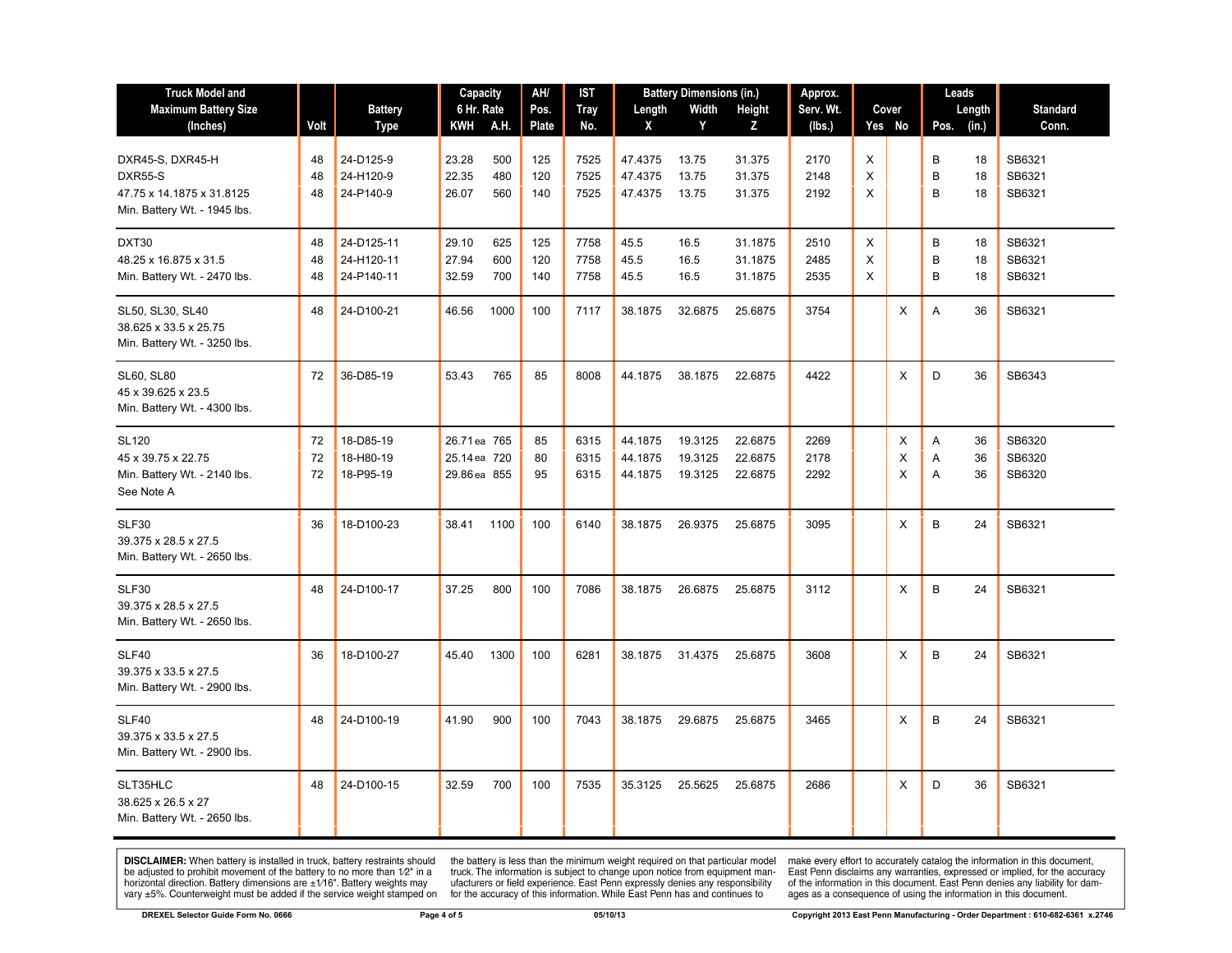| <b>Truck Model and</b><br><b>Maximum Battery Size</b><br>(Inches)                        | Volt           | <b>Battery</b><br>Type                 | Capacity<br>6 Hr. Rate<br>KWH A.H.           |                   | AH/<br>Pos.<br><b>Plate</b> | IST<br><b>Tray</b><br>No. | Length<br>X                   | <b>Battery Dimensions (in.)</b><br>Width<br>Y | Height<br>Z                   | Approx.<br>Serv. Wt.<br>(Ibs.) |             | Cover<br>Yes No | Leads<br>Length<br>Pos. (in.) | <b>Standard</b><br>Conn.   |
|------------------------------------------------------------------------------------------|----------------|----------------------------------------|----------------------------------------------|-------------------|-----------------------------|---------------------------|-------------------------------|-----------------------------------------------|-------------------------------|--------------------------------|-------------|-----------------|-------------------------------|----------------------------|
| DXR45-S, DXR45-H<br>DXR55-S<br>47.75 x 14.1875 x 31.8125<br>Min. Battery Wt. - 1945 lbs. | 48<br>48<br>48 | 24-D125-9<br>24-H120-9<br>24-P140-9    | 23.28<br>22.35<br>26.07                      | 500<br>480<br>560 | 125<br>120<br>140           | 7525<br>7525<br>7525      | 47.4375<br>47.4375<br>47.4375 | 13.75<br>13.75<br>13.75                       | 31.375<br>31.375<br>31.375    | 2170<br>2148<br>2192           | X<br>X<br>X |                 | B<br>18<br>B<br>18<br>B<br>18 | SB6321<br>SB6321<br>SB6321 |
| DXT30<br>48.25 x 16.875 x 31.5<br>Min. Battery Wt. - 2470 lbs.                           | 48<br>48<br>48 | 24-D125-11<br>24-H120-11<br>24-P140-11 | 29.10<br>27.94<br>32.59                      | 625<br>600<br>700 | 125<br>120<br>140           | 7758<br>7758<br>7758      | 45.5<br>45.5<br>45.5          | 16.5<br>16.5<br>16.5                          | 31.1875<br>31.1875<br>31.1875 | 2510<br>2485<br>2535           | X<br>X<br>X |                 | B<br>18<br>B<br>18<br>B<br>18 | SB6321<br>SB6321<br>SB6321 |
| SL50, SL30, SL40<br>38.625 x 33.5 x 25.75<br>Min. Battery Wt. - 3250 lbs.                | 48             | 24-D100-21                             | 46.56                                        | 1000              | 100                         | 7117                      | 38.1875                       | 32.6875                                       | 25.6875                       | 3754                           |             | X               | A<br>36                       | SB6321                     |
| SL60, SL80<br>45 x 39.625 x 23.5<br>Min. Battery Wt. - 4300 lbs.                         | 72             | 36-D85-19                              | 53.43                                        | 765               | 85                          | 8008                      | 44.1875                       | 38.1875                                       | 22.6875                       | 4422                           |             | X               | D<br>36                       | SB6343                     |
| <b>SL120</b><br>45 x 39.75 x 22.75<br>Min. Battery Wt. - 2140 lbs.<br>See Note A         | 72<br>72<br>72 | 18-D85-19<br>18-H80-19<br>18-P95-19    | 26.71 ea 765<br>25.14 ea 720<br>29.86 ea 855 |                   | 85<br>80<br>95              | 6315<br>6315<br>6315      | 44.1875<br>44.1875<br>44.1875 | 19.3125<br>19.3125<br>19.3125                 | 22.6875<br>22.6875<br>22.6875 | 2269<br>2178<br>2292           |             | X<br>Χ<br>X     | Α<br>36<br>Α<br>36<br>A<br>36 | SB6320<br>SB6320<br>SB6320 |
| SLF30<br>39.375 x 28.5 x 27.5<br>Min. Battery Wt. - 2650 lbs.                            | 36             | 18-D100-23                             | 38.41                                        | 1100              | 100                         | 6140                      | 38.1875                       | 26.9375                                       | 25.6875                       | 3095                           |             | Χ               | B<br>24                       | SB6321                     |
| SLF30<br>39.375 x 28.5 x 27.5<br>Min. Battery Wt. - 2650 lbs.                            | 48             | 24-D100-17                             | 37.25                                        | 800               | 100                         | 7086                      | 38.1875                       | 26.6875                                       | 25.6875                       | 3112                           |             | X               | B<br>24                       | SB6321                     |
| SLF40<br>39.375 x 33.5 x 27.5<br>Min. Battery Wt. - 2900 lbs.                            | 36             | 18-D100-27                             | 45.40                                        | 1300              | 100                         | 6281                      | 38.1875                       | 31.4375                                       | 25.6875                       | 3608                           |             | X               | B<br>24                       | SB6321                     |
| SLF40<br>39.375 x 33.5 x 27.5<br>Min. Battery Wt. - 2900 lbs.                            | 48             | 24-D100-19                             | 41.90                                        | 900               | 100                         | 7043                      | 38.1875                       | 29.6875                                       | 25.6875                       | 3465                           |             | X               | B<br>24                       | SB6321                     |
| SLT35HLC<br>38.625 x 26.5 x 27<br>Min. Battery Wt. - 2650 lbs.                           | 48             | 24-D100-15                             | 32.59                                        | 700               | 100                         | 7535                      | 35.3125                       | 25.5625                                       | 25.6875                       | 2686                           |             | Χ               | D<br>36                       | SB6321                     |

**DISCLAIMER:** When battery is installed in truck, battery restraints should<br>be adjusted to prohibit movement of the battery to no more than  $1/2$ " in a<br>horizontal direction. Battery dimensions are  $\pm 1/16$ ". Battery weig

the battery is less than the minimum weight required on that particular model<br>truck. The information is subject to change upon notice from equipment man-<br>ufacturers or field experience. East Penn expressly denies any respo

make every effort to accurately catalog the information in this document,<br>East Penn disclaims any warranties, expressed or implied, for the accuracy<br>of the information in this document. East Penn denies any liability for d ages as a consequence of using the information in this document.